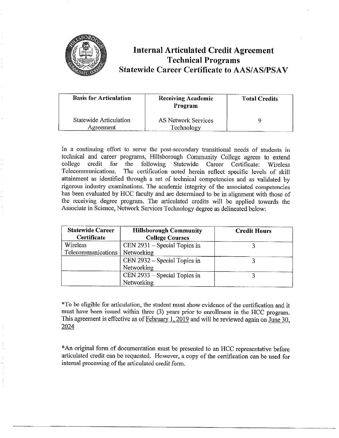

## **Internal Articulated Credit Agreement Technical Programs Statewide Career Certificate to AAS/AS/PSAV**

| <b>Basis for Articulation</b>       | <b>Receiving Academic</b><br>Program | <b>Total Credits</b> |
|-------------------------------------|--------------------------------------|----------------------|
| Statewide Articulation<br>Agreement | AS Network Services<br>Technology    |                      |

In a continuing effort to serve the post-secondary transitional needs of students in technical and career programs, Hillsborough Community College agrees to extend college credit for the following Statewide Career Certificate: Wireless Telecommunications. The certification noted herein reflect specific levels of skill attainment as identified through a set of technical competencies and as validated by rigorous industry examinations. The academic integrity of the associated competencies has been evaluated by HCC faculty and are determined to be in alignment with those of the receiving degree program. The articulated credits will be applied towards the Associate in Science, Network Services Technology degree as delineated below:

| <b>Statewide Career</b><br>Certificate | <b>Hillsborough Community</b><br><b>College Courses</b> | <b>Credit Hours</b> |
|----------------------------------------|---------------------------------------------------------|---------------------|
| Wireless                               | CEN $2931 -$ Special Topics in                          |                     |
| Telecommunications   Networking        |                                                         |                     |
|                                        | CEN 2932 – Special Topics in                            |                     |
|                                        | Networking                                              |                     |
|                                        | $CEN 2933 - Special Topics in$                          |                     |
|                                        | Networking                                              |                     |

\*To be eligible for articulation, the student must show evidence of the certification and it must have been issued within three (3) years prior to emollment in the HCC program. This agreement is effective as of February 1, 2019 and will be reviewed again on June 30, 2024

\*An original form of documentation must be presented to an HCC representative before articulated credit can be requested. However, a copy of the certification can be used for internal processing of the articulated credit form.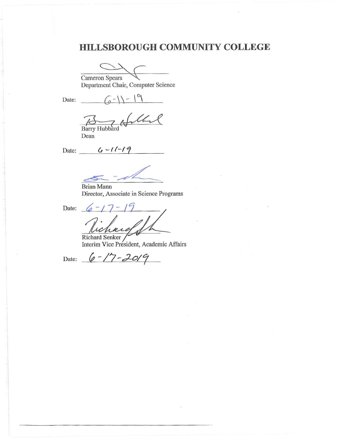# **HILLSBOROUGH COMMUNITY COLLEGE**

Cameron Spears

Department Chair, Computer Science

Date:  $\sqrt{2}$   $\sqrt{2}$   $\sqrt{9}$ 

Bany *7d*  The Holland

Dean

Date: \_*\_\_\_\_ G -11-19* 

Brian Mann Director, Associate in Science Programs

Date: <u>6-17-19</u><br> *Lichure* 

Richard Senker Interim Vice President, Academic Affairs

Date:  $6 - 17 - 2019$